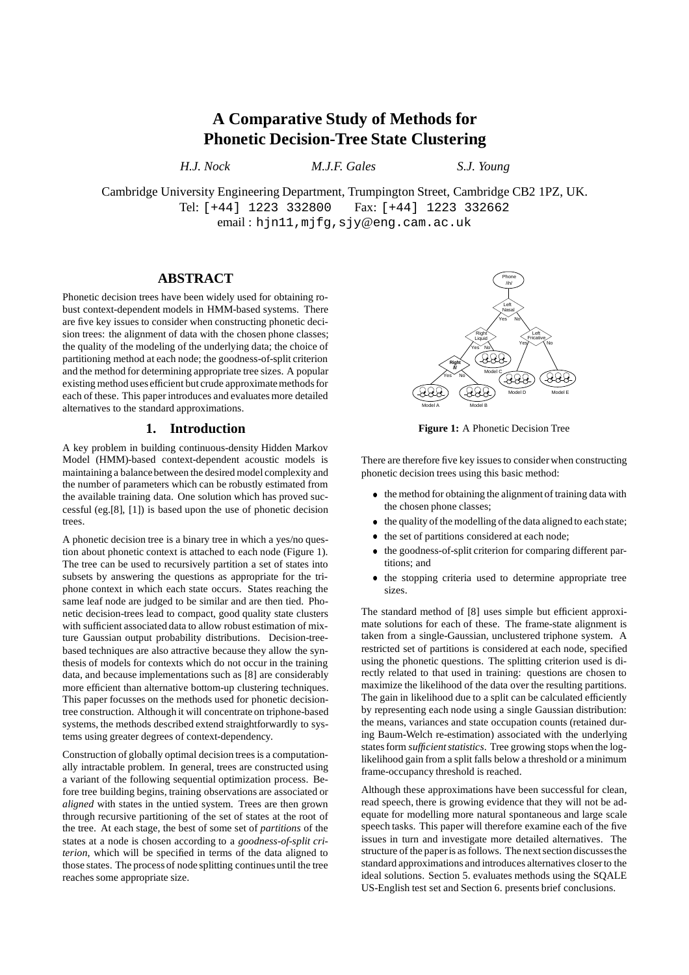# **A Comparative Study of Methods for Phonetic Decision-Tree State Clustering**

*H.J. Nock M.J.F. Gales S.J. Young*

Cambridge University Engineering Department, Trumpington Street, Cambridge CB2 1PZ, UK. Tel: [+44] 1223 332800 Fax: [+44] 1223 332662 email : hjn11,mjfg,sjy@eng.cam.ac.uk

# **ABSTRACT**

Phonetic decision trees have been widely used for obtaining robust context-dependent models in HMM-based systems. There are five key issues to consider when constructing phonetic decision trees: the alignment of data with the chosen phone classes; the quality of the modeling of the underlying data; the choice of partitioning method at each node; the goodness-of-split criterion and the method for determining appropriate tree sizes. A popular existing method uses efficient but crude approximate methods for each of these. This paper introduces and evaluates more detailed alternatives to the standard approximations.

# **1. Introduction**

A key problem in building continuous-density Hidden Markov Model (HMM)-based context-dependent acoustic models is maintaining a balancebetween the desired model complexity and the number of parameters which can be robustly estimated from the available training data. One solution which has proved successful (eg.[8], [1]) is based upon the use of phonetic decision trees.

A phonetic decision tree is a binary tree in which a yes/no question about phonetic context is attached to each node (Figure 1). The tree can be used to recursively partition a set of states into subsets by answering the questions as appropriate for the triphone context in which each state occurs. States reaching the same leaf node are judged to be similar and are then tied. Phonetic decision-trees lead to compact, good quality state clusters with sufficient associated data to allow robust estimation of mixture Gaussian output probability distributions. Decision-treebased techniques are also attractive because they allow the synthesis of models for contexts which do not occur in the training data, and because implementations such as [8] are considerably more efficient than alternative bottom-up clustering techniques. This paper focusses on the methods used for phonetic decisiontree construction. Although it will concentrate on triphone-based systems, the methods described extend straightforwardly to systems using greater degrees of context-dependency.

Construction of globally optimal decision trees is a computationally intractable problem. In general, trees are constructed using a variant of the following sequential optimization process. Before tree building begins, training observations are associated or *aligned* with states in the untied system. Trees are then grown through recursive partitioning of the set of states at the root of the tree. At each stage, the best of some set of *partitions* of the states at a node is chosen according to a *goodness-of-split criterion*, which will be specified in terms of the data aligned to those states. The process of node splitting continues until the tree reaches some appropriate size.



**Figure 1:** A Phonetic Decision Tree

There are therefore five key issues to consider when constructing phonetic decision trees using this basic method:

- the method for obtaining the alignment of training data with the chosen phone classes;
- the quality of the modelling of the data aligned to each state;
- $\bullet$  the set of partitions considered at each node;
- the goodness-of-split criterion for comparing different partitions; and
- the stopping criteria used to determine appropriate tree sizes.

The standard method of [8] uses simple but efficient approximate solutions for each of these. The frame-state alignment is taken from a single-Gaussian, unclustered triphone system. A restricted set of partitions is considered at each node, specified using the phonetic questions. The splitting criterion used is directly related to that used in training: questions are chosen to maximize the likelihood of the data over the resulting partitions. The gain in likelihood due to a split can be calculated efficiently by representing each node using a single Gaussian distribution: the means, variances and state occupation counts (retained during Baum-Welch re-estimation) associated with the underlying states form *sufficient statistics*. Tree growing stops when the loglikelihood gain from a split falls below a threshold or a minimum frame-occupancy threshold is reached.

Although these approximations have been successful for clean, read speech, there is growing evidence that they will not be adequate for modelling more natural spontaneous and large scale speech tasks. This paper will therefore examine each of the five issues in turn and investigate more detailed alternatives. The structure of the paper is as follows. The next section discusses the standard approximations and introduces alternatives closer to the ideal solutions. Section 5. evaluates methods using the SQALE US-English test set and Section 6. presents brief conclusions.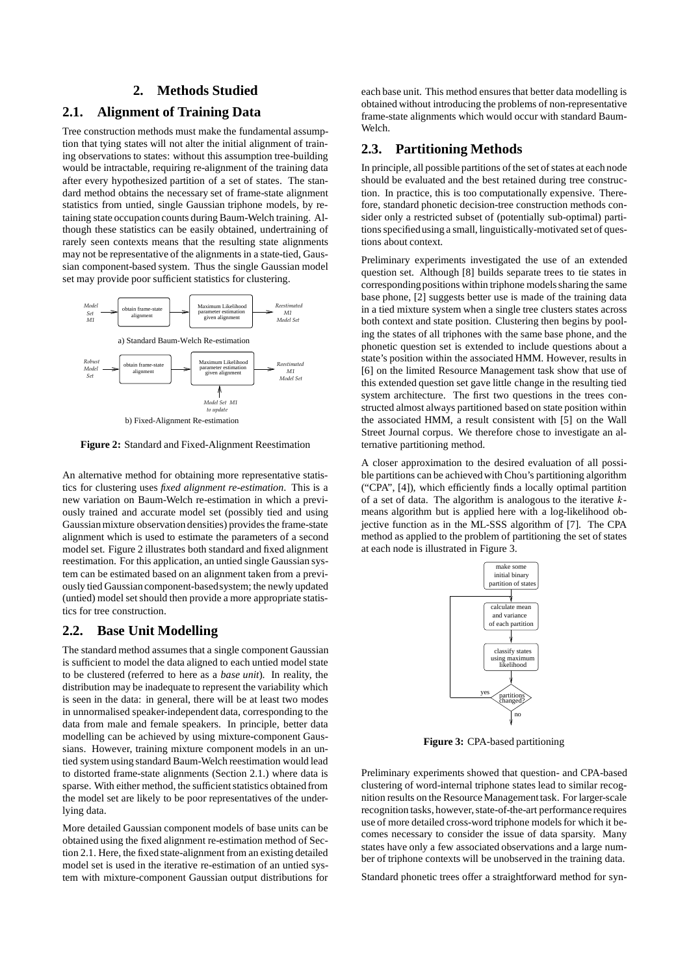#### **2. Methods Studied**

# **2.1. Alignment of Training Data**

Tree construction methods must make the fundamental assumption that tying states will not alter the initial alignment of training observations to states: without this assumption tree-building would be intractable, requiring re-alignment of the training data after every hypothesized partition of a set of states. The standard method obtains the necessary set of frame-state alignment statistics from untied, single Gaussian triphone models, by retaining state occupation counts during Baum-Welch training. Although these statistics can be easily obtained, undertraining of rarely seen contexts means that the resulting state alignments may not be representative of the alignments in a state-tied, Gaussian component-based system. Thus the single Gaussian model set may provide poor sufficient statistics for clustering.



**Figure 2:** Standard and Fixed-Alignment Reestimation

An alternative method for obtaining more representative statistics for clustering uses *fixed alignment re-estimation*. This is a new variation on Baum-Welch re-estimation in which a previously trained and accurate model set (possibly tied and using Gaussian mixture observation densities) provides the frame-state alignment which is used to estimate the parameters of a second model set. Figure 2 illustrates both standard and fixed alignment reestimation. For this application, an untied single Gaussian system can be estimated based on an alignment taken from a previously tied Gaussian component-basedsystem; the newly updated (untied) model setshould then provide a more appropriate statistics for tree construction.

# **2.2. Base Unit Modelling**

The standard method assumes that a single component Gaussian is sufficient to model the data aligned to each untied model state to be clustered (referred to here as a *base unit*). In reality, the distribution may be inadequate to represent the variability which is seen in the data: in general, there will be at least two modes in unnormalised speaker-independent data, corresponding to the data from male and female speakers. In principle, better data modelling can be achieved by using mixture-component Gaussians. However, training mixture component models in an untied system using standard Baum-Welch reestimation would lead to distorted frame-state alignments (Section 2.1.) where data is sparse. With either method, the sufficient statistics obtained from the model set are likely to be poor representatives of the underlying data.

More detailed Gaussian component models of base units can be obtained using the fixed alignment re-estimation method of Section 2.1. Here, the fixed state-alignment from an existing detailed model set is used in the iterative re-estimation of an untied system with mixture-component Gaussian output distributions for each base unit. This method ensures that better data modelling is obtained without introducing the problems of non-representative frame-state alignments which would occur with standard Baum-Welch.

#### **2.3. Partitioning Methods**

In principle, all possible partitions of the set of states at each node should be evaluated and the best retained during tree construction. In practice, this is too computationally expensive. Therefore, standard phonetic decision-tree construction methods consider only a restricted subset of (potentially sub-optimal) partitions specified using a small, linguistically-motivated set of questions about context.

Preliminary experiments investigated the use of an extended question set. Although [8] builds separate trees to tie states in corresponding positions within triphone models sharing the same base phone, [2] suggests better use is made of the training data in a tied mixture system when a single tree clusters states across both context and state position. Clustering then begins by pooling the states of all triphones with the same base phone, and the phonetic question set is extended to include questions about a state's position within the associated HMM. However, results in [6] on the limited Resource Management task show that use of this extended question set gave little change in the resulting tied system architecture. The first two questions in the trees constructed almost always partitioned based on state position within the associated HMM, a result consistent with [5] on the Wall Street Journal corpus. We therefore chose to investigate an alternative partitioning method.

A closer approximation to the desired evaluation of all possible partitions can be achievedwith Chou's partitioning algorithm ("CPA", [4]), which efficiently finds a locally optimal partition of a set of data. The algorithm is analogous to the iterative  $k$ means algorithm but is applied here with a log-likelihood objective function as in the ML-SSS algorithm of [7]. The CPA method as applied to the problem of partitioning the set of states at each node is illustrated in Figure 3.



**Figure 3:** CPA-based partitioning

Preliminary experiments showed that question- and CPA-based clustering of word-internal triphone states lead to similar recognition results on the Resource Management task. For larger-scale recognition tasks, however, state-of-the-art performance requires use of more detailed cross-word triphone models for which it becomes necessary to consider the issue of data sparsity. Many states have only a few associated observations and a large number of triphone contexts will be unobserved in the training data.

Standard phonetic trees offer a straightforward method for syn-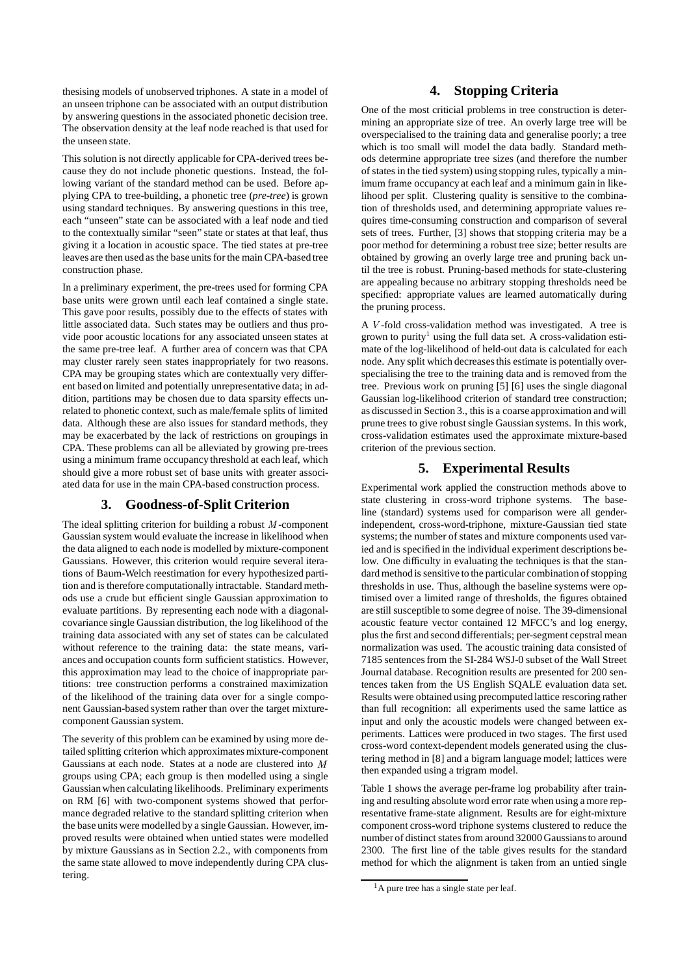thesising models of unobserved triphones. A state in a model of an unseen triphone can be associated with an output distribution by answering questions in the associated phonetic decision tree. The observation density at the leaf node reached is that used for the unseen state.

This solution is not directly applicable for CPA-derived trees because they do not include phonetic questions. Instead, the following variant of the standard method can be used. Before applying CPA to tree-building, a phonetic tree (*pre-tree*) is grown using standard techniques. By answering questions in this tree, each "unseen" state can be associated with a leaf node and tied to the contextually similar "seen" state or states at that leaf, thus giving it a location in acoustic space. The tied states at pre-tree leaves are then used as the base units for the main CPA-based tree construction phase.

In a preliminary experiment, the pre-trees used for forming CPA base units were grown until each leaf contained a single state. This gave poor results, possibly due to the effects of states with little associated data. Such states may be outliers and thus provide poor acoustic locations for any associated unseen states at the same pre-tree leaf. A further area of concern was that CPA may cluster rarely seen states inappropriately for two reasons. CPA may be grouping states which are contextually very different based on limited and potentially unrepresentative data; in addition, partitions may be chosen due to data sparsity effects unrelated to phonetic context, such as male/female splits of limited data. Although these are also issues for standard methods, they may be exacerbated by the lack of restrictions on groupings in CPA. These problems can all be alleviated by growing pre-trees using a minimum frame occupancy threshold at each leaf, which should give a more robust set of base units with greater associated data for use in the main CPA-based construction process.

# **3. Goodness-of-Split Criterion**

The ideal splitting criterion for building a robust  $M$ -component Gaussian system would evaluate the increase in likelihood when the data aligned to each node is modelled by mixture-component Gaussians. However, this criterion would require several iterations of Baum-Welch reestimation for every hypothesized partition and is therefore computationally intractable. Standard methods use a crude but efficient single Gaussian approximation to evaluate partitions. By representing each node with a diagonalcovariance single Gaussian distribution, the log likelihood of the training data associated with any set of states can be calculated without reference to the training data: the state means, variances and occupation counts form sufficient statistics. However, this approximation may lead to the choice of inappropriate partitions: tree construction performs a constrained maximization of the likelihood of the training data over for a single component Gaussian-based system rather than over the target mixturecomponent Gaussian system.

The severity of this problem can be examined by using more detailed splitting criterion which approximates mixture-component Gaussians at each node. States at a node are clustered into  $M$ groups using CPA; each group is then modelled using a single Gaussianwhen calculating likelihoods. Preliminary experiments on RM [6] with two-component systems showed that performance degraded relative to the standard splitting criterion when the base units were modelled by a single Gaussian. However, improved results were obtained when untied states were modelled by mixture Gaussians as in Section 2.2., with components from the same state allowed to move independently during CPA clustering.

# **4. Stopping Criteria**

One of the most criticial problems in tree construction is determining an appropriate size of tree. An overly large tree will be overspecialised to the training data and generalise poorly; a tree which is too small will model the data badly. Standard methods determine appropriate tree sizes (and therefore the number of states in the tied system) using stopping rules, typically a minimum frame occupancy at each leaf and a minimum gain in likelihood per split. Clustering quality is sensitive to the combination of thresholds used, and determining appropriate values requires time-consuming construction and comparison of several sets of trees. Further, [3] shows that stopping criteria may be a poor method for determining a robust tree size; better results are obtained by growing an overly large tree and pruning back until the tree is robust. Pruning-based methods for state-clustering are appealing because no arbitrary stopping thresholds need be specified: appropriate values are learned automatically during the pruning process.

A  $V$ -fold cross-validation method was investigated. A tree is grown to purity<sup>1</sup> using the full data set. A cross-validation estimate of the log-likelihood of held-out data is calculated for each node. Any split which decreasesthis estimate is potentially overspecialising the tree to the training data and is removed from the tree. Previous work on pruning [5] [6] uses the single diagonal Gaussian log-likelihood criterion of standard tree construction; as discussed in Section 3., this is a coarse approximation and will prune trees to give robust single Gaussian systems. In this work, cross-validation estimates used the approximate mixture-based criterion of the previous section.

# **5. Experimental Results**

Experimental work applied the construction methods above to state clustering in cross-word triphone systems. The baseline (standard) systems used for comparison were all genderindependent, cross-word-triphone, mixture-Gaussian tied state systems; the number of states and mixture components used varied and is specified in the individual experiment descriptions below. One difficulty in evaluating the techniques is that the standard method is sensitive to the particular combination of stopping thresholds in use. Thus, although the baseline systems were optimised over a limited range of thresholds, the figures obtained are still susceptible to some degree of noise. The 39-dimensional acoustic feature vector contained 12 MFCC's and log energy, plus the first and second differentials; per-segment cepstral mean normalization was used. The acoustic training data consisted of 7185 sentencesfrom the SI-284 WSJ-0 subset of the Wall Street Journal database. Recognition results are presented for 200 sentences taken from the US English SQALE evaluation data set. Results were obtained using precomputed lattice rescoring rather than full recognition: all experiments used the same lattice as input and only the acoustic models were changed between experiments. Lattices were produced in two stages. The first used cross-word context-dependent models generated using the clustering method in [8] and a bigram language model; lattices were then expanded using a trigram model.

Table 1 shows the average per-frame log probability after training and resulting absoluteword error rate when using a more representative frame-state alignment. Results are for eight-mixture component cross-word triphone systems clustered to reduce the number of distinct states from around 32000 Gaussians to around 2300. The first line of the table gives results for the standard method for which the alignment is taken from an untied single

 $<sup>1</sup>A$  pure tree has a single state per leaf.</sup>